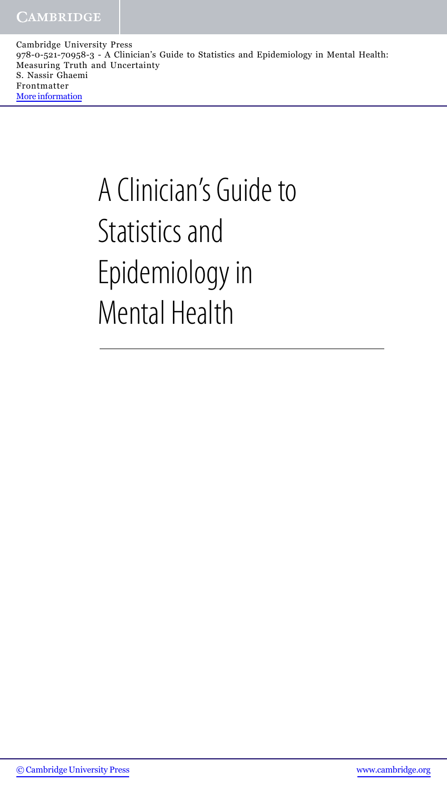# A Clinician's Guide to Statistics and Epidemiology in Mental Health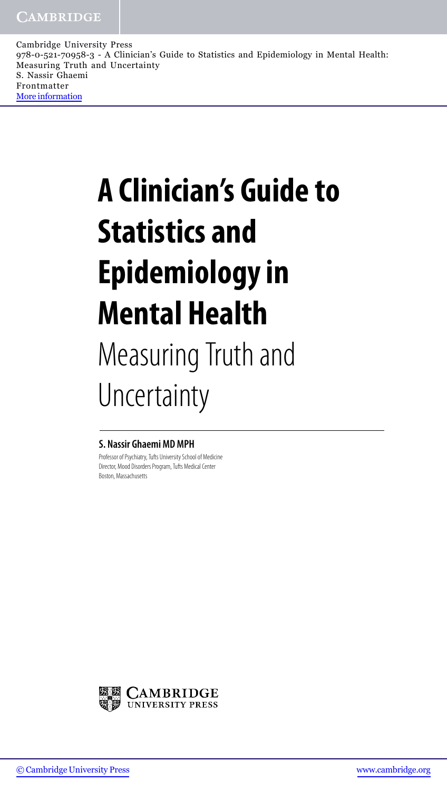# **A Clinician's Guide to Statistics and Epidemiology in Mental Health** Measuring Truth and Uncertainty

#### **S. Nassir Ghaemi MD MPH**

Professor of Psychiatry, Tufts University School of Medicine Director, Mood Disorders Program, Tufts Medical Center Boston, Massachusetts

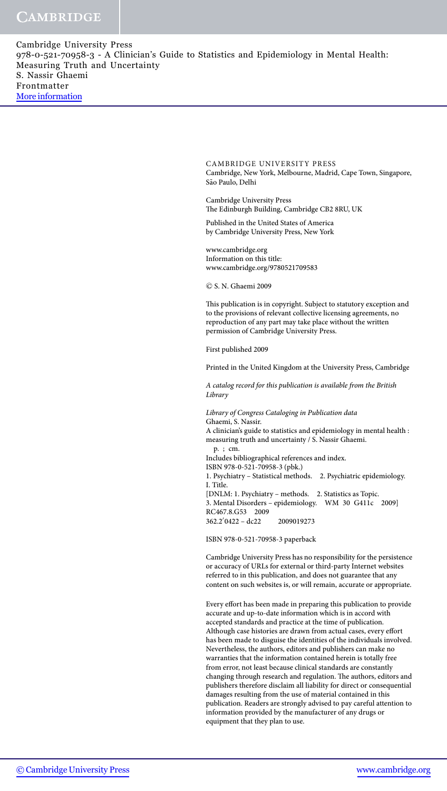> CAMBRIDGE UNIVERSITY PRESS Cambridge, New York, Melbourne, Madrid, Cape Town, Singapore, São Paulo, Delhi

Cambridge University Press The Edinburgh Building, Cambridge CB2 8RU, UK

Published in the United States of America by Cambridge University Press, New York

www.cambridge.org Information on this title: www.cambridge.org/9780521709583

<sup>c</sup> S. N. Ghaemi 2009

This publication is in copyright. Subject to statutory exception and to the provisions of relevant collective licensing agreements, no reproduction of any part may take place without the written permission of Cambridge University Press.

First published 2009

Printed in the United Kingdom at the University Press, Cambridge

*A catalog record for this publication is available from the British Library*

*Library of Congress Cataloging in Publication data* Ghaemi, S. Nassir. A clinician's guide to statistics and epidemiology in mental health : measuring truth and uncertainty / S. Nassir Ghaemi. p. ; cm. Includes bibliographical references and index. ISBN 978-0-521-70958-3 (pbk.) 1. Psychiatry – Statistical methods. 2. Psychiatric epidemiology. I. Title. [DNLM: 1. Psychiatry – methods. 2. Statistics as Topic. 3. Mental Disorders – epidemiology. WM 30 G411c 2009] RC467.8.G53 2009 362.2- 0422 – dc22 2009019273

ISBN 978-0-521-70958-3 paperback

Cambridge University Press has no responsibility for the persistence or accuracy of URLs for external or third-party Internet websites referred to in this publication, and does not guarantee that any content on such websites is, or will remain, accurate or appropriate.

Every effort has been made in preparing this publication to provide accurate and up-to-date information which is in accord with accepted standards and practice at the time of publication. Although case histories are drawn from actual cases, every effort has been made to disguise the identities of the individuals involved. Nevertheless, the authors, editors and publishers can make no warranties that the information contained herein is totally free from error, not least because clinical standards are constantly changing through research and regulation. The authors, editors and publishers therefore disclaim all liability for direct or consequential damages resulting from the use of material contained in this publication. Readers are strongly advised to pay careful attention to information provided by the manufacturer of any drugs or equipment that they plan to use.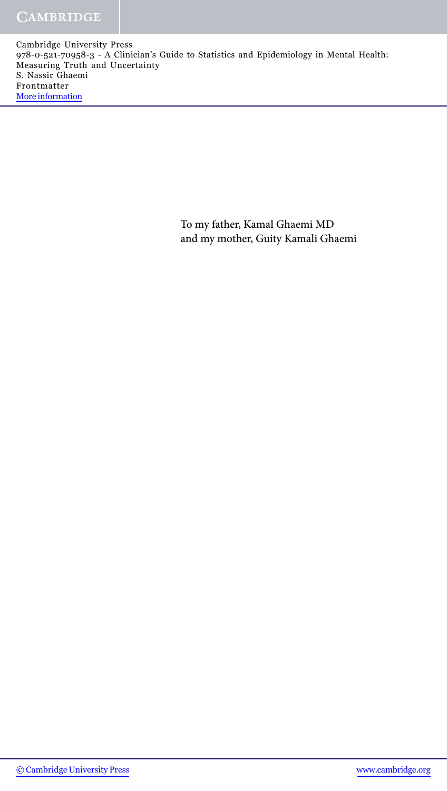> To my father, Kamal Ghaemi MD and my mother, Guity Kamali Ghaemi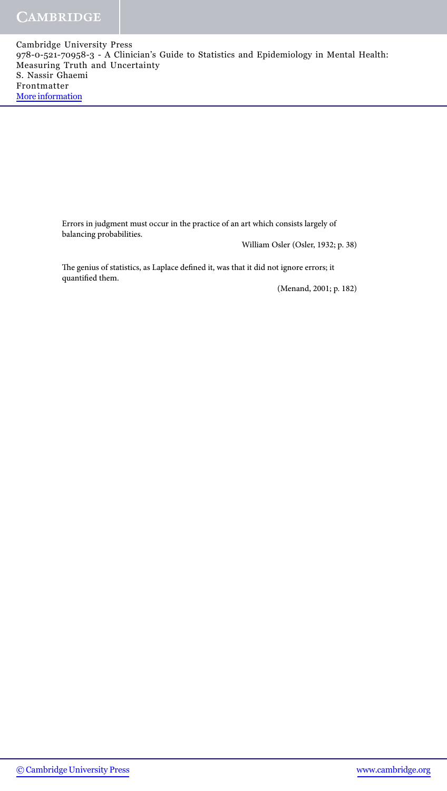> Errors in judgment must occur in the practice of an art which consists largely of balancing probabilities.

William Osler (Osler, 1932; p. 38)

The genius of statistics, as Laplace defined it, was that it did not ignore errors; it quantified them.

(Menand, 2001; p. 182)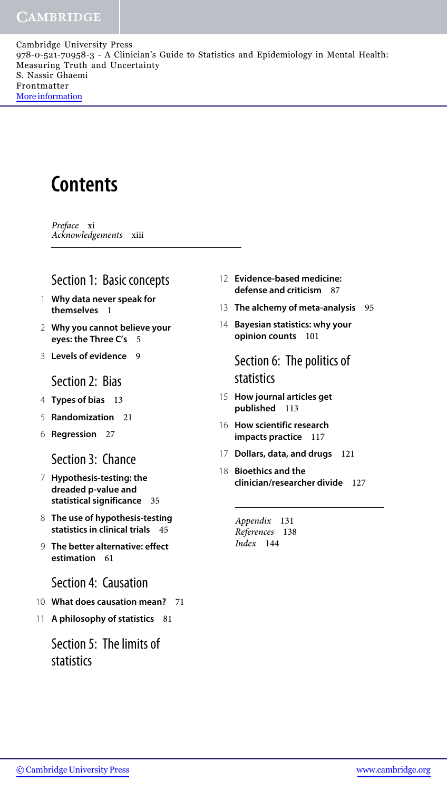## **Contents**

*Preface* xi *Acknowledgements* xiii

### Section 1: Basic concepts

- 1 **Why data never speak for themselves** 1
- 2 **Why you cannot believe your eyes: the Three C's** 5
- 3 **Levels of evidence** 9

#### Section 2: Bias

- 4 **Types of bias** 13
- 5 **Randomization** 21
- 6 **Regression** 27

#### Section 3: Chance

- 7 **Hypothesis-testing: the dreaded p-value and statistical significance** 35
- 8 **The use of hypothesis-testing statistics in clinical trials** 45
- 9 **The better alternative: effect estimation** 61
	- Section 4: Causation
- 10 **What does causation mean?** 71
- 11 **A philosophy of statistics** 81

#### Section 5: The limits of statistics

- 12 **Evidence-based medicine: defense and criticism** 87
- 13 **The alchemy of meta-analysis** 95
- 14 **Bayesian statistics: why your opinion counts** 101

Section 6: The politics of statistics

- 15 **How journal articles get published** 113
- 16 **How scientific research impacts practice** 117
- 17 **Dollars, data, and drugs** 121
- 18 **Bioethics and the clinician/researcher divide** 127

*Appendix* 131 *References* 138 *Index* 144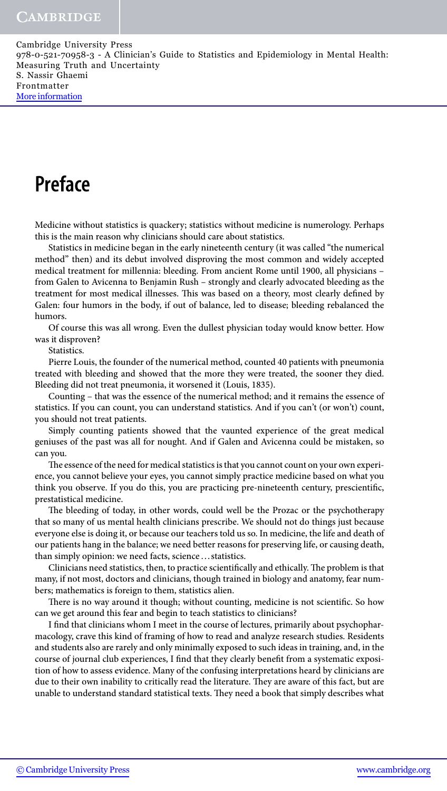### **Preface**

Medicine without statistics is quackery; statistics without medicine is numerology. Perhaps this is the main reason why clinicians should care about statistics.

Statistics in medicine began in the early nineteenth century (it was called "the numerical method" then) and its debut involved disproving the most common and widely accepted medical treatment for millennia: bleeding. From ancient Rome until 1900, all physicians – from Galen to Avicenna to Benjamin Rush – strongly and clearly advocated bleeding as the treatment for most medical illnesses. This was based on a theory, most clearly defined by Galen: four humors in the body, if out of balance, led to disease; bleeding rebalanced the humors.

Of course this was all wrong. Even the dullest physician today would know better. How was it disproven?

Statistics.

Pierre Louis, the founder of the numerical method, counted 40 patients with pneumonia treated with bleeding and showed that the more they were treated, the sooner they died. Bleeding did not treat pneumonia, it worsened it (Louis, 1835).

Counting – that was the essence of the numerical method; and it remains the essence of statistics. If you can count, you can understand statistics. And if you can't (or won't) count, you should not treat patients.

Simply counting patients showed that the vaunted experience of the great medical geniuses of the past was all for nought. And if Galen and Avicenna could be mistaken, so can you.

The essence of the need for medical statistics is that you cannot count on your own experience, you cannot believe your eyes, you cannot simply practice medicine based on what you think you observe. If you do this, you are practicing pre-nineteenth century, prescientific, prestatistical medicine.

The bleeding of today, in other words, could well be the Prozac or the psychotherapy that so many of us mental health clinicians prescribe. We should not do things just because everyone else is doing it, or because our teachers told us so. In medicine, the life and death of our patients hang in the balance; we need better reasons for preserving life, or causing death, than simply opinion: we need facts, science ... statistics.

Clinicians need statistics, then, to practice scientifically and ethically. The problem is that many, if not most, doctors and clinicians, though trained in biology and anatomy, fear numbers; mathematics is foreign to them, statistics alien.

There is no way around it though; without counting, medicine is not scientific. So how can we get around this fear and begin to teach statistics to clinicians?

I find that clinicians whom I meet in the course of lectures, primarily about psychopharmacology, crave this kind of framing of how to read and analyze research studies. Residents and students also are rarely and only minimally exposed to such ideas in training, and, in the course of journal club experiences, I find that they clearly benefit from a systematic exposition of how to assess evidence. Many of the confusing interpretations heard by clinicians are due to their own inability to critically read the literature. They are aware of this fact, but are unable to understand standard statistical texts. They need a book that simply describes what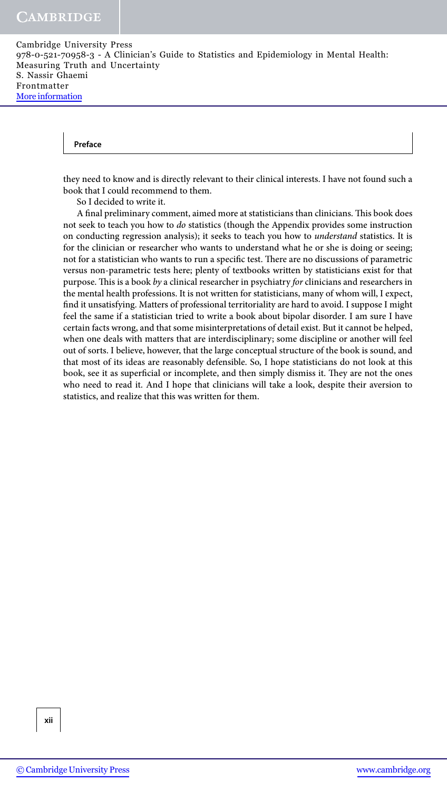#### **Preface**

they need to know and is directly relevant to their clinical interests. I have not found such a book that I could recommend to them.

So I decided to write it.

A final preliminary comment, aimed more at statisticians than clinicians. This book does not seek to teach you how to *do* statistics (though the Appendix provides some instruction on conducting regression analysis); it seeks to teach you how to *understand* statistics. It is for the clinician or researcher who wants to understand what he or she is doing or seeing; not for a statistician who wants to run a specific test. There are no discussions of parametric versus non-parametric tests here; plenty of textbooks written by statisticians exist for that purpose. This is a book *by* a clinical researcher in psychiatry *for* clinicians and researchers in the mental health professions. It is not written for statisticians, many of whom will, I expect, find it unsatisfying. Matters of professional territoriality are hard to avoid. I suppose I might feel the same if a statistician tried to write a book about bipolar disorder. I am sure I have certain facts wrong, and that some misinterpretations of detail exist. But it cannot be helped, when one deals with matters that are interdisciplinary; some discipline or another will feel out of sorts. I believe, however, that the large conceptual structure of the book is sound, and that most of its ideas are reasonably defensible. So, I hope statisticians do not look at this book, see it as superficial or incomplete, and then simply dismiss it. They are not the ones who need to read it. And I hope that clinicians will take a look, despite their aversion to statistics, and realize that this was written for them.

**xii**